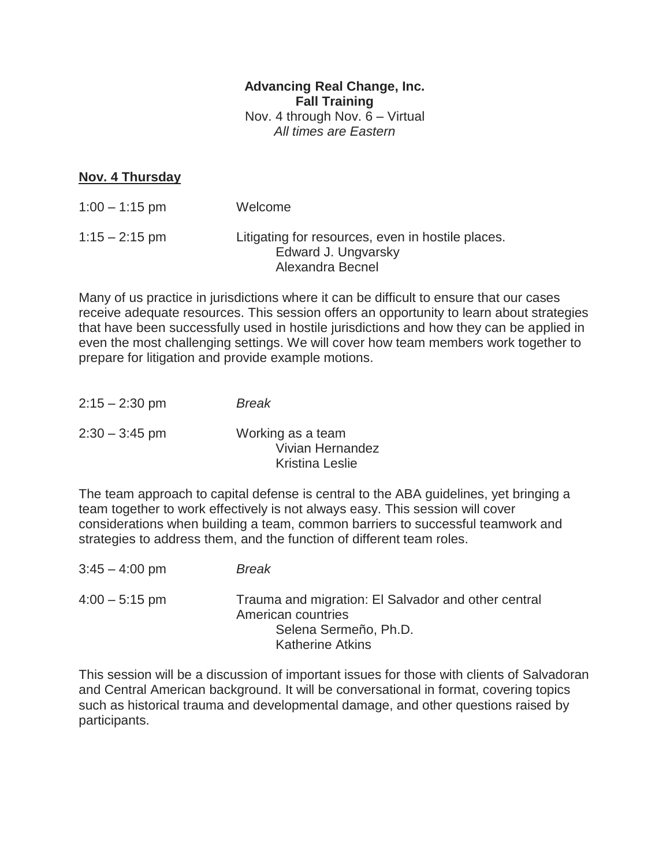## **Advancing Real Change, Inc. Fall Training** Nov. 4 through Nov. 6 – Virtual *All times are Eastern*

## **Nov. 4 Thursday**

| $1:00 - 1:15$ pm | Welcome                                                                                      |
|------------------|----------------------------------------------------------------------------------------------|
| $1:15 - 2:15$ pm | Litigating for resources, even in hostile places.<br>Edward J. Ungvarsky<br>Alexandra Becnel |

Many of us practice in jurisdictions where it can be difficult to ensure that our cases receive adequate resources. This session offers an opportunity to learn about strategies that have been successfully used in hostile jurisdictions and how they can be applied in even the most challenging settings. We will cover how team members work together to prepare for litigation and provide example motions.

| $2:15 - 2:30$ pm | <b>Break</b>                                                    |
|------------------|-----------------------------------------------------------------|
| $2:30 - 3:45$ pm | Working as a team<br>Vivian Hernandez<br><b>Kristina Leslie</b> |

The team approach to capital defense is central to the ABA guidelines, yet bringing a team together to work effectively is not always easy. This session will cover considerations when building a team, common barriers to successful teamwork and strategies to address them, and the function of different team roles.

| $3:45 - 4:00$ pm | <b>Break</b>                                                                                                                  |
|------------------|-------------------------------------------------------------------------------------------------------------------------------|
| $4:00 - 5:15$ pm | Trauma and migration: El Salvador and other central<br>American countries<br>Selena Sermeño, Ph.D.<br><b>Katherine Atkins</b> |

This session will be a discussion of important issues for those with clients of Salvadoran and Central American background. It will be conversational in format, covering topics such as historical trauma and developmental damage, and other questions raised by participants.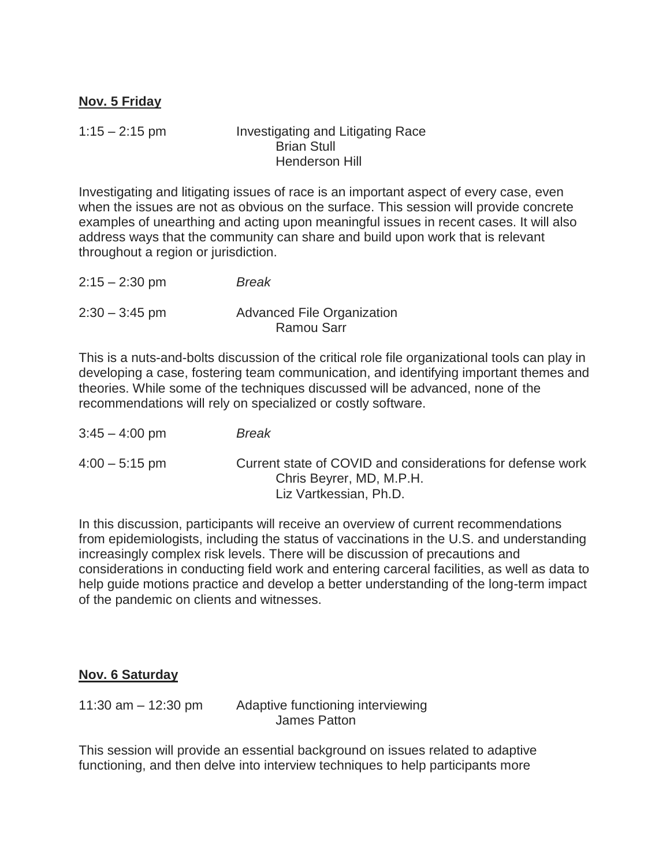## **Nov. 5 Friday**

1:15 – 2:15 pm Investigating and Litigating Race Brian Stull Henderson Hill

Investigating and litigating issues of race is an important aspect of every case, even when the issues are not as obvious on the surface. This session will provide concrete examples of unearthing and acting upon meaningful issues in recent cases. It will also address ways that the community can share and build upon work that is relevant throughout a region or jurisdiction.

| $2:15 - 2:30$ pm | Break                      |
|------------------|----------------------------|
| $2:30 - 3:45$ pm | Advanced File Organization |
|                  | <b>Ramou Sarr</b>          |

This is a nuts-and-bolts discussion of the critical role file organizational tools can play in developing a case, fostering team communication, and identifying important themes and theories. While some of the techniques discussed will be advanced, none of the recommendations will rely on specialized or costly software.

| $3:45 - 4:00$ pm | <b>Break</b>                                                                                                     |
|------------------|------------------------------------------------------------------------------------------------------------------|
| $4:00 - 5:15$ pm | Current state of COVID and considerations for defense work<br>Chris Beyrer, MD, M.P.H.<br>Liz Vartkessian, Ph.D. |

In this discussion, participants will receive an overview of current recommendations from epidemiologists, including the status of vaccinations in the U.S. and understanding increasingly complex risk levels. There will be discussion of precautions and considerations in conducting field work and entering carceral facilities, as well as data to help guide motions practice and develop a better understanding of the long-term impact of the pandemic on clients and witnesses.

## **Nov. 6 Saturday**

11:30 am – 12:30 pm Adaptive functioning interviewing James Patton

This session will provide an essential background on issues related to adaptive functioning, and then delve into interview techniques to help participants more